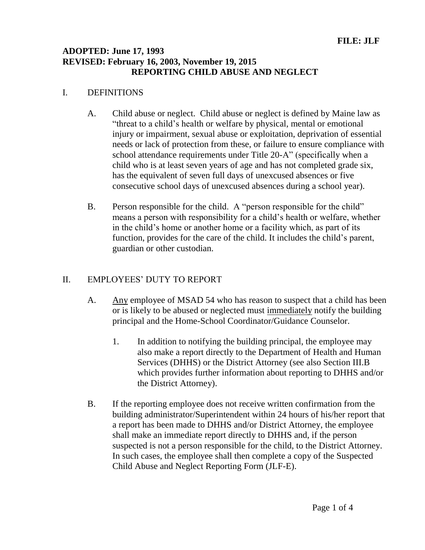### **ADOPTED: June 17, 1993 REVISED: February 16, 2003, November 19, 2015 REPORTING CHILD ABUSE AND NEGLECT**

#### I. DEFINITIONS

- A. Child abuse or neglect. Child abuse or neglect is defined by Maine law as "threat to a child's health or welfare by physical, mental or emotional injury or impairment, sexual abuse or exploitation, deprivation of essential needs or lack of protection from these, or failure to ensure compliance with school attendance requirements under Title 20-A" (specifically when a child who is at least seven years of age and has not completed grade six, has the equivalent of seven full days of unexcused absences or five consecutive school days of unexcused absences during a school year).
- B. Person responsible for the child. A "person responsible for the child" means a person with responsibility for a child's health or welfare, whether in the child's home or another home or a facility which, as part of its function, provides for the care of the child. It includes the child's parent, guardian or other custodian.

## II. EMPLOYEES' DUTY TO REPORT

- A. Any employee of MSAD 54 who has reason to suspect that a child has been or is likely to be abused or neglected must immediately notify the building principal and the Home-School Coordinator/Guidance Counselor.
	- 1. In addition to notifying the building principal, the employee may also make a report directly to the Department of Health and Human Services (DHHS) or the District Attorney (see also Section III.B which provides further information about reporting to DHHS and/or the District Attorney).
- B. If the reporting employee does not receive written confirmation from the building administrator/Superintendent within 24 hours of his/her report that a report has been made to DHHS and/or District Attorney, the employee shall make an immediate report directly to DHHS and, if the person suspected is not a person responsible for the child, to the District Attorney. In such cases, the employee shall then complete a copy of the Suspected Child Abuse and Neglect Reporting Form (JLF-E).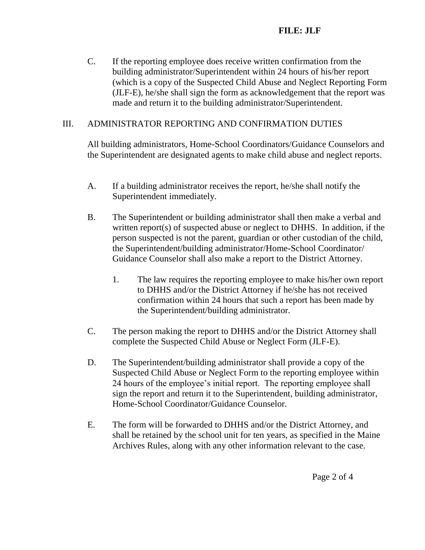C. If the reporting employee does receive written confirmation from the building administrator/Superintendent within 24 hours of his/her report (which is a copy of the Suspected Child Abuse and Neglect Reporting Form (JLF-E), he/she shall sign the form as acknowledgement that the report was made and return it to the building administrator/Superintendent.

## III. ADMINISTRATOR REPORTING AND CONFIRMATION DUTIES

All building administrators, Home-School Coordinators/Guidance Counselors and the Superintendent are designated agents to make child abuse and neglect reports.

- A. If a building administrator receives the report, he/she shall notify the Superintendent immediately.
- B. The Superintendent or building administrator shall then make a verbal and written report(s) of suspected abuse or neglect to DHHS. In addition, if the person suspected is not the parent, guardian or other custodian of the child, the Superintendent/building administrator/Home-School Coordinator/ Guidance Counselor shall also make a report to the District Attorney.
	- 1. The law requires the reporting employee to make his/her own report to DHHS and/or the District Attorney if he/she has not received confirmation within 24 hours that such a report has been made by the Superintendent/building administrator.
- C. The person making the report to DHHS and/or the District Attorney shall complete the Suspected Child Abuse or Neglect Form (JLF-E).
- D. The Superintendent/building administrator shall provide a copy of the Suspected Child Abuse or Neglect Form to the reporting employee within 24 hours of the employee's initial report. The reporting employee shall sign the report and return it to the Superintendent, building administrator, Home-School Coordinator/Guidance Counselor.
- E. The form will be forwarded to DHHS and/or the District Attorney, and shall be retained by the school unit for ten years, as specified in the Maine Archives Rules, along with any other information relevant to the case.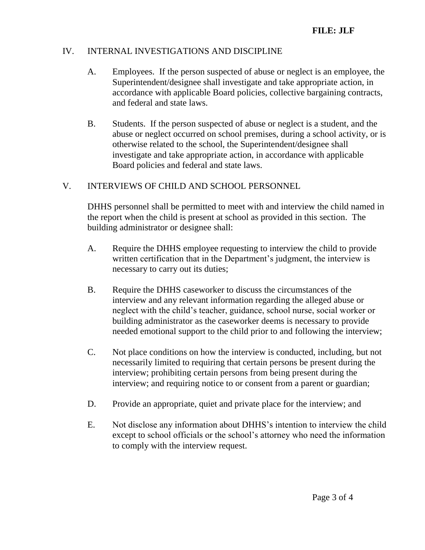## IV. INTERNAL INVESTIGATIONS AND DISCIPLINE

- A. Employees. If the person suspected of abuse or neglect is an employee, the Superintendent/designee shall investigate and take appropriate action, in accordance with applicable Board policies, collective bargaining contracts, and federal and state laws.
- B. Students. If the person suspected of abuse or neglect is a student, and the abuse or neglect occurred on school premises, during a school activity, or is otherwise related to the school, the Superintendent/designee shall investigate and take appropriate action, in accordance with applicable Board policies and federal and state laws.

## V. INTERVIEWS OF CHILD AND SCHOOL PERSONNEL

DHHS personnel shall be permitted to meet with and interview the child named in the report when the child is present at school as provided in this section. The building administrator or designee shall:

- A. Require the DHHS employee requesting to interview the child to provide written certification that in the Department's judgment, the interview is necessary to carry out its duties;
- B. Require the DHHS caseworker to discuss the circumstances of the interview and any relevant information regarding the alleged abuse or neglect with the child's teacher, guidance, school nurse, social worker or building administrator as the caseworker deems is necessary to provide needed emotional support to the child prior to and following the interview;
- C. Not place conditions on how the interview is conducted, including, but not necessarily limited to requiring that certain persons be present during the interview; prohibiting certain persons from being present during the interview; and requiring notice to or consent from a parent or guardian;
- D. Provide an appropriate, quiet and private place for the interview; and
- E. Not disclose any information about DHHS's intention to interview the child except to school officials or the school's attorney who need the information to comply with the interview request.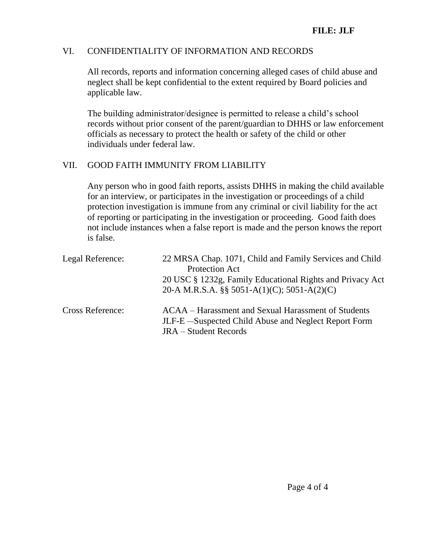## VI. CONFIDENTIALITY OF INFORMATION AND RECORDS

All records, reports and information concerning alleged cases of child abuse and neglect shall be kept confidential to the extent required by Board policies and applicable law.

The building administrator/designee is permitted to release a child's school records without prior consent of the parent/guardian to DHHS or law enforcement officials as necessary to protect the health or safety of the child or other individuals under federal law.

### VII. GOOD FAITH IMMUNITY FROM LIABILITY

Any person who in good faith reports, assists DHHS in making the child available for an interview, or participates in the investigation or proceedings of a child protection investigation is immune from any criminal or civil liability for the act of reporting or participating in the investigation or proceeding. Good faith does not include instances when a false report is made and the person knows the report is false.

| Legal Reference:        | 22 MRSA Chap. 1071, Child and Family Services and Child<br><b>Protection Act</b><br>20 USC § 1232g, Family Educational Rights and Privacy Act<br>20-A M.R.S.A. $\S$ 5051-A(1)(C); 5051-A(2)(C) |
|-------------------------|------------------------------------------------------------------------------------------------------------------------------------------------------------------------------------------------|
| <b>Cross Reference:</b> | ACAA – Harassment and Sexual Harassment of Students<br>JLF-E-Suspected Child Abuse and Neglect Report Form<br><b>JRA</b> – Student Records                                                     |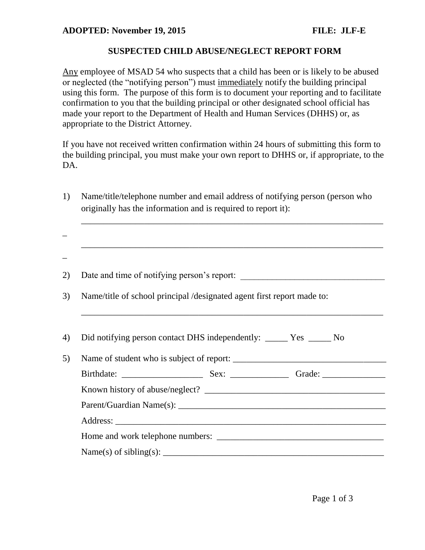#### **SUSPECTED CHILD ABUSE/NEGLECT REPORT FORM**

Any employee of MSAD 54 who suspects that a child has been or is likely to be abused or neglected (the "notifying person") must immediately notify the building principal using this form. The purpose of this form is to document your reporting and to facilitate confirmation to you that the building principal or other designated school official has made your report to the Department of Health and Human Services (DHHS) or, as appropriate to the District Attorney.

If you have not received written confirmation within 24 hours of submitting this form to the building principal, you must make your own report to DHHS or, if appropriate, to the DA.

1) Name/title/telephone number and email address of notifying person (person who originally has the information and is required to report it):

\_\_\_\_\_\_\_\_\_\_\_\_\_\_\_\_\_\_\_\_\_\_\_\_\_\_\_\_\_\_\_\_\_\_\_\_\_\_\_\_\_\_\_\_\_\_\_\_\_\_\_\_\_\_\_\_\_\_\_\_\_\_\_\_\_\_\_

| Name/title of school principal /designated agent first report made to:                                           |  |  |
|------------------------------------------------------------------------------------------------------------------|--|--|
|                                                                                                                  |  |  |
| Did notifying person contact DHS independently: ______ Yes _____ No<br>Name of student who is subject of report: |  |  |
|                                                                                                                  |  |  |
|                                                                                                                  |  |  |
|                                                                                                                  |  |  |
|                                                                                                                  |  |  |
|                                                                                                                  |  |  |
|                                                                                                                  |  |  |
|                                                                                                                  |  |  |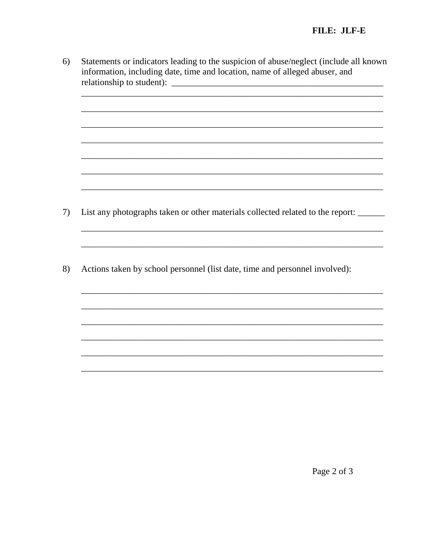Statements or indicators leading to the suspicion of abuse/neglect (include all known  $6)$ information, including date, time and location, name of alleged abuser, and 

- List any photographs taken or other materials collected related to the report: \_\_\_\_\_ 7)
- 8) Actions taken by school personnel (list date, time and personnel involved):